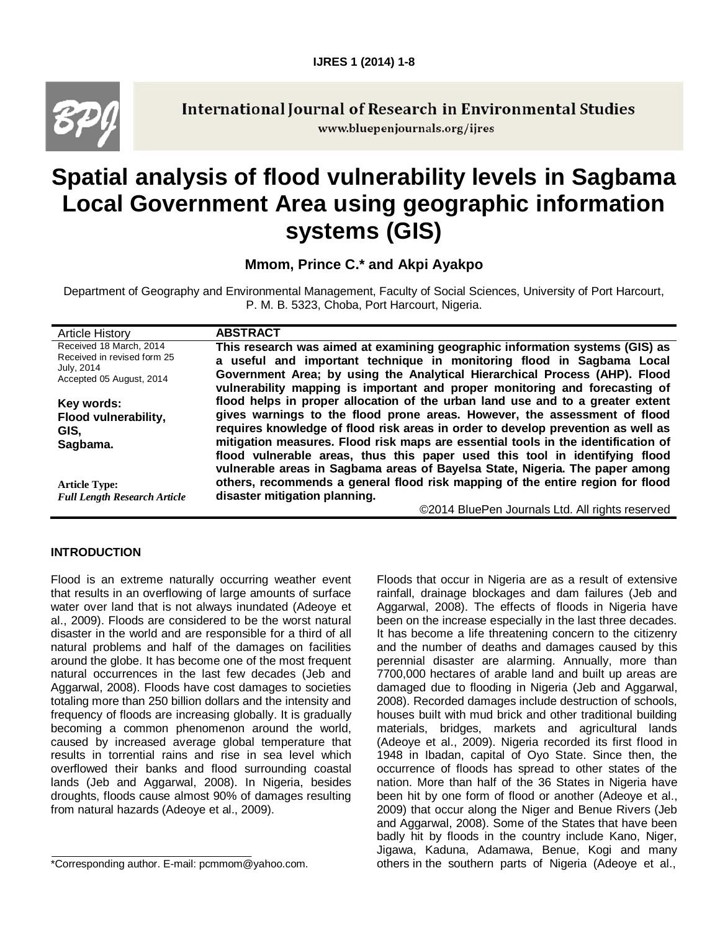

**International Journal of Research in Environmental Studies** www.bluepenjournals.org/ijres

# **Spatial analysis of flood vulnerability levels in Sagbama Local Government Area using geographic information systems (GIS)**

**Mmom, Prince C.\* and Akpi Ayakpo**

Department of Geography and Environmental Management, Faculty of Social Sciences, University of Port Harcourt, P. M. B. 5323, Choba, Port Harcourt, Nigeria.

| <b>Article History</b>                                                                           | <b>ABSTRACT</b>                                                                                                                                                                                                                                                                                                                                                                                                                                                                                     |
|--------------------------------------------------------------------------------------------------|-----------------------------------------------------------------------------------------------------------------------------------------------------------------------------------------------------------------------------------------------------------------------------------------------------------------------------------------------------------------------------------------------------------------------------------------------------------------------------------------------------|
| Received 18 March, 2014<br>Received in revised form 25<br>July, 2014<br>Accepted 05 August, 2014 | This research was aimed at examining geographic information systems (GIS) as<br>a useful and important technique in monitoring flood in Sagbama Local<br>Government Area; by using the Analytical Hierarchical Process (AHP). Flood<br>vulnerability mapping is important and proper monitoring and forecasting of                                                                                                                                                                                  |
| Key words:<br>Flood vulnerability,<br>GIS,<br>Sagbama.                                           | flood helps in proper allocation of the urban land use and to a greater extent<br>gives warnings to the flood prone areas. However, the assessment of flood<br>requires knowledge of flood risk areas in order to develop prevention as well as<br>mitigation measures. Flood risk maps are essential tools in the identification of<br>flood vulnerable areas, thus this paper used this tool in identifying flood<br>vulnerable areas in Sagbama areas of Bayelsa State, Nigeria. The paper among |
| <b>Article Type:</b><br><b>Full Length Research Article</b>                                      | others, recommends a general flood risk mapping of the entire region for flood<br>disaster mitigation planning.                                                                                                                                                                                                                                                                                                                                                                                     |
|                                                                                                  | ©2014 BluePen Journals Ltd. All rights reserved                                                                                                                                                                                                                                                                                                                                                                                                                                                     |

# **INTRODUCTION**

Flood is an extreme naturally occurring weather event that results in an overflowing of large amounts of surface water over land that is not always inundated (Adeoye et al., 2009). Floods are considered to be the worst natural disaster in the world and are responsible for a third of all natural problems and half of the damages on facilities around the globe. It has become one of the most frequent natural occurrences in the last few decades (Jeb and Aggarwal, 2008). Floods have cost damages to societies totaling more than 250 billion dollars and the intensity and frequency of floods are increasing globally. It is gradually becoming a common phenomenon around the world, caused by increased average global temperature that results in torrential rains and rise in sea level which overflowed their banks and flood surrounding coastal lands (Jeb and Aggarwal, 2008). In Nigeria, besides droughts, floods cause almost 90% of damages resulting from natural hazards (Adeoye et al., 2009).

Floods that occur in Nigeria are as a result of extensive rainfall, drainage blockages and dam failures (Jeb and Aggarwal, 2008). The effects of floods in Nigeria have been on the increase especially in the last three decades. It has become a life threatening concern to the citizenry and the number of deaths and damages caused by this perennial disaster are alarming. Annually, more than 7700,000 hectares of arable land and built up areas are damaged due to flooding in Nigeria (Jeb and Aggarwal, 2008). Recorded damages include destruction of schools, houses built with mud brick and other traditional building materials, bridges, markets and agricultural lands (Adeoye et al., 2009). Nigeria recorded its first flood in 1948 in Ibadan, capital of Oyo State. Since then, the occurrence of floods has spread to other states of the nation. More than half of the 36 States in Nigeria have been hit by one form of flood or another (Adeoye et al., 2009) that occur along the Niger and Benue Rivers (Jeb and Aggarwal, 2008). Some of the States that have been badly hit by floods in the country include Kano, Niger, Jigawa, Kaduna, Adamawa, Benue, Kogi and many others in the southern parts of Nigeria (Adeoye et al.,

<sup>\*</sup>Corresponding author. E-mail: pcmmom@yahoo.com.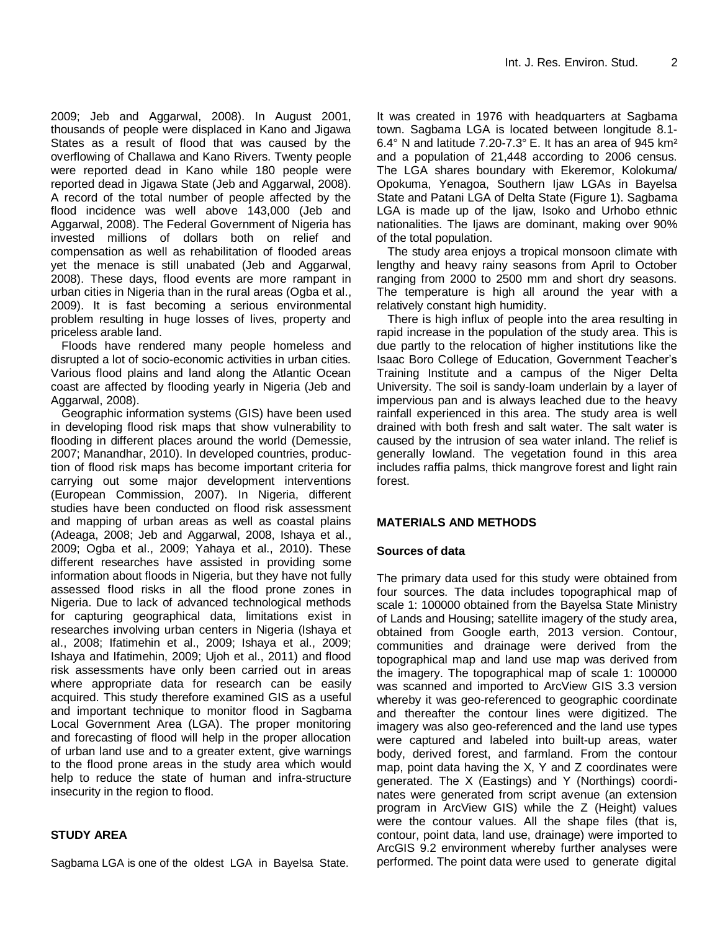2009; Jeb and Aggarwal, 2008). In August 2001, thousands of people were displaced in Kano and Jigawa States as a result of flood that was caused by the overflowing of Challawa and Kano Rivers. Twenty people were reported dead in Kano while 180 people were reported dead in Jigawa State (Jeb and Aggarwal, 2008). A record of the total number of people affected by the flood incidence was well above 143,000 (Jeb and Aggarwal, 2008). The Federal Government of Nigeria has invested millions of dollars both on relief and compensation as well as rehabilitation of flooded areas yet the menace is still unabated (Jeb and Aggarwal, 2008). These days, flood events are more rampant in urban cities in Nigeria than in the rural areas (Ogba et al., 2009). It is fast becoming a serious environmental problem resulting in huge losses of lives, property and priceless arable land.

Floods have rendered many people homeless and disrupted a lot of socio-economic activities in urban cities. Various flood plains and land along the Atlantic Ocean coast are affected by flooding yearly in Nigeria (Jeb and Aggarwal, 2008).

Geographic information systems (GIS) have been used in developing flood risk maps that show vulnerability to flooding in different places around the world (Demessie, 2007; Manandhar, 2010). In developed countries, production of flood risk maps has become important criteria for carrying out some major development interventions (European Commission, 2007). In Nigeria, different studies have been conducted on flood risk assessment and mapping of urban areas as well as coastal plains (Adeaga, 2008; Jeb and Aggarwal, 2008, Ishaya et al., 2009; Ogba et al., 2009; Yahaya et al., 2010). These different researches have assisted in providing some information about floods in Nigeria, but they have not fully assessed flood risks in all the flood prone zones in Nigeria. Due to lack of advanced technological methods for capturing geographical data, limitations exist in researches involving urban centers in Nigeria (Ishaya et al., 2008; Ifatimehin et al., 2009; Ishaya et al., 2009; Ishaya and Ifatimehin, 2009; Ujoh et al., 2011) and flood risk assessments have only been carried out in areas where appropriate data for research can be easily acquired. This study therefore examined GIS as a useful and important technique to monitor flood in Sagbama Local Government Area (LGA). The proper monitoring and forecasting of flood will help in the proper allocation of urban land use and to a greater extent, give warnings to the flood prone areas in the study area which would help to reduce the state of human and infra-structure insecurity in the region to flood.

# **STUDY AREA**

Sagbama LGA is one of the oldest LGA in Bayelsa State.

It was created in 1976 with headquarters at Sagbama town. Sagbama LGA is located between longitude 8.1- 6.4° N and latitude 7.20-7.3° E. It has an area of 945 km² and a population of 21,448 according to 2006 census. The LGA shares boundary with Ekeremor, Kolokuma/ Opokuma, Yenagoa, Southern Ijaw LGAs in Bayelsa State and Patani LGA of Delta State (Figure 1). Sagbama LGA is made up of the Ijaw, Isoko and Urhobo ethnic nationalities. The Ijaws are dominant, making over 90% of the total population.

The study area enjoys a tropical monsoon climate with lengthy and heavy rainy seasons from April to October ranging from 2000 to 2500 mm and short dry seasons. The temperature is high all around the year with a relatively constant high humidity.

There is high influx of people into the area resulting in rapid increase in the population of the study area. This is due partly to the relocation of higher institutions like the Isaac Boro College of Education, Government Teacher's Training Institute and a campus of the Niger Delta University. The soil is sandy-loam underlain by a layer of impervious pan and is always leached due to the heavy rainfall experienced in this area. The study area is well drained with both fresh and salt water. The salt water is caused by the intrusion of sea water inland. The relief is generally lowland. The vegetation found in this area includes raffia palms, thick mangrove forest and light rain forest.

# **MATERIALS AND METHODS**

#### **Sources of data**

The primary data used for this study were obtained from four sources. The data includes topographical map of scale 1: 100000 obtained from the Bayelsa State Ministry of Lands and Housing; satellite imagery of the study area, obtained from Google earth, 2013 version. Contour, communities and drainage were derived from the topographical map and land use map was derived from the imagery. The topographical map of scale 1: 100000 was scanned and imported to ArcView GIS 3.3 version whereby it was geo-referenced to geographic coordinate and thereafter the contour lines were digitized. The imagery was also geo-referenced and the land use types were captured and labeled into built-up areas, water body, derived forest, and farmland. From the contour map, point data having the X, Y and Z coordinates were generated. The X (Eastings) and Y (Northings) coordinates were generated from script avenue (an extension program in ArcView GIS) while the Z (Height) values were the contour values. All the shape files (that is, contour, point data, land use, drainage) were imported to ArcGIS 9.2 environment whereby further analyses were performed. The point data were used to generate digital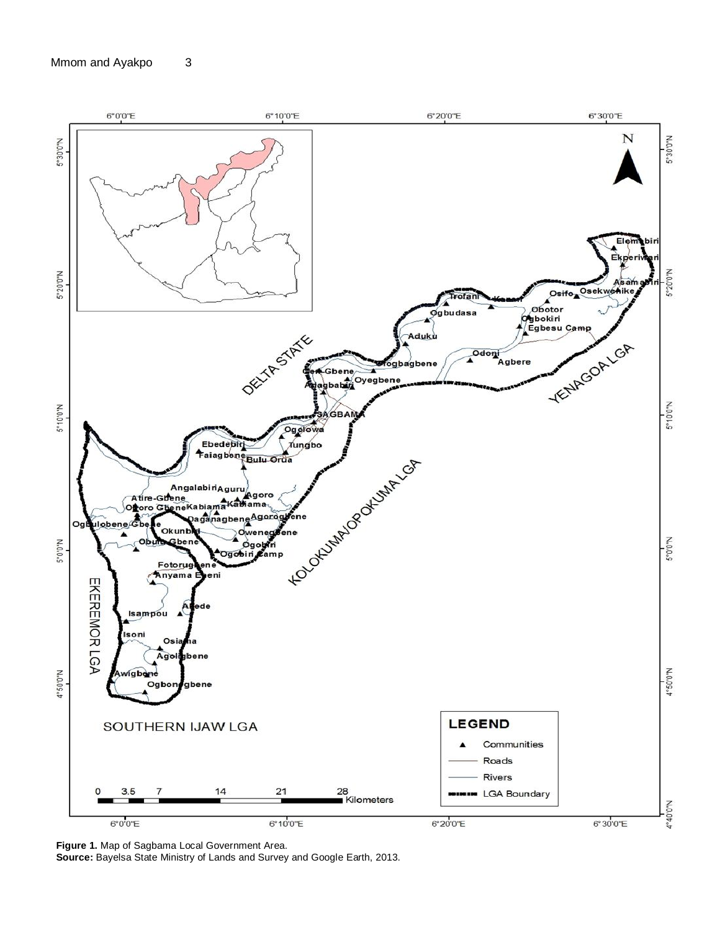

**Figure 1.** Map of Sagbama Local Government Area.

**Source:** Bayelsa State Ministry of Lands and Survey and Google Earth, 2013.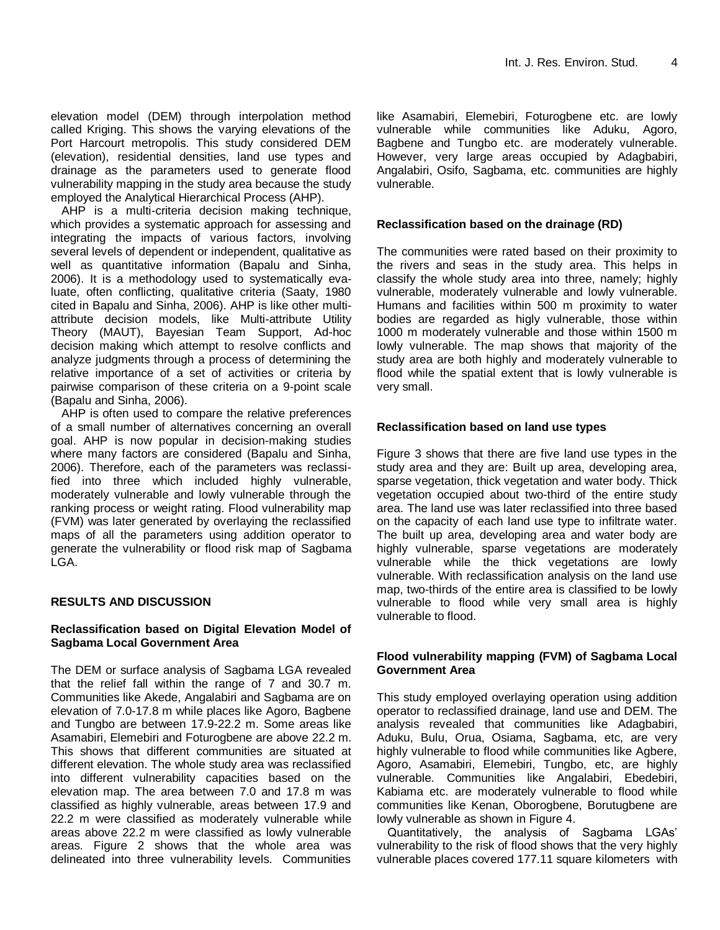elevation model (DEM) through interpolation method called Kriging. This shows the varying elevations of the Port Harcourt metropolis. This study considered DEM (elevation), residential densities, land use types and drainage as the parameters used to generate flood vulnerability mapping in the study area because the study employed the Analytical Hierarchical Process (AHP).

AHP is a multi-criteria decision making technique, which provides a systematic approach for assessing and integrating the impacts of various factors, involving several levels of dependent or independent, qualitative as well as quantitative information (Bapalu and Sinha, 2006). It is a methodology used to systematically evaluate, often conflicting, qualitative criteria (Saaty, 1980 cited in Bapalu and Sinha, 2006). AHP is like other multiattribute decision models, like Multi-attribute Utility Theory (MAUT), Bayesian Team Support, Ad-hoc decision making which attempt to resolve conflicts and analyze judgments through a process of determining the relative importance of a set of activities or criteria by pairwise comparison of these criteria on a 9-point scale (Bapalu and Sinha, 2006).

AHP is often used to compare the relative preferences of a small number of alternatives concerning an overall goal. AHP is now popular in decision-making studies where many factors are considered (Bapalu and Sinha, 2006). Therefore, each of the parameters was reclassified into three which included highly vulnerable, moderately vulnerable and lowly vulnerable through the ranking process or weight rating. Flood vulnerability map (FVM) was later generated by overlaying the reclassified maps of all the parameters using addition operator to generate the vulnerability or flood risk map of Sagbama LGA.

# **RESULTS AND DISCUSSION**

# **Reclassification based on Digital Elevation Model of Sagbama Local Government Area**

The DEM or surface analysis of Sagbama LGA revealed that the relief fall within the range of 7 and 30.7 m. Communities like Akede, Angalabiri and Sagbama are on elevation of 7.0-17.8 m while places like Agoro, Bagbene and Tungbo are between 17.9-22.2 m. Some areas like Asamabiri, Elemebiri and Foturogbene are above 22.2 m. This shows that different communities are situated at different elevation. The whole study area was reclassified into different vulnerability capacities based on the elevation map. The area between 7.0 and 17.8 m was classified as highly vulnerable, areas between 17.9 and 22.2 m were classified as moderately vulnerable while areas above 22.2 m were classified as lowly vulnerable areas. Figure 2 shows that the whole area was delineated into three vulnerability levels. Communities

like Asamabiri, Elemebiri, Foturogbene etc. are lowly vulnerable while communities like Aduku, Agoro, Bagbene and Tungbo etc. are moderately vulnerable. However, very large areas occupied by Adagbabiri, Angalabiri, Osifo, Sagbama, etc. communities are highly vulnerable.

#### **Reclassification based on the drainage (RD)**

The communities were rated based on their proximity to the rivers and seas in the study area. This helps in classify the whole study area into three, namely; highly vulnerable, moderately vulnerable and lowly vulnerable. Humans and facilities within 500 m proximity to water bodies are regarded as higly vulnerable, those within 1000 m moderately vulnerable and those within 1500 m lowly vulnerable. The map shows that majority of the study area are both highly and moderately vulnerable to flood while the spatial extent that is lowly vulnerable is very small.

### **Reclassification based on land use types**

Figure 3 shows that there are five land use types in the study area and they are: Built up area, developing area, sparse vegetation, thick vegetation and water body. Thick vegetation occupied about two-third of the entire study area. The land use was later reclassified into three based on the capacity of each land use type to infiltrate water. The built up area, developing area and water body are highly vulnerable, sparse vegetations are moderately vulnerable while the thick vegetations are lowly vulnerable. With reclassification analysis on the land use map, two-thirds of the entire area is classified to be lowly vulnerable to flood while very small area is highly vulnerable to flood.

### **Flood vulnerability mapping (FVM) of Sagbama Local Government Area**

This study employed overlaying operation using addition operator to reclassified drainage, land use and DEM. The analysis revealed that communities like Adagbabiri, Aduku, Bulu, Orua, Osiama, Sagbama, etc, are very highly vulnerable to flood while communities like Agbere, Agoro, Asamabiri, Elemebiri, Tungbo, etc, are highly vulnerable. Communities like Angalabiri, Ebedebiri, Kabiama etc. are moderately vulnerable to flood while communities like Kenan, Oborogbene, Borutugbene are lowly vulnerable as shown in Figure 4.

Quantitatively, the analysis of Sagbama LGAs' vulnerability to the risk of flood shows that the very highly vulnerable places covered 177.11 square kilometers with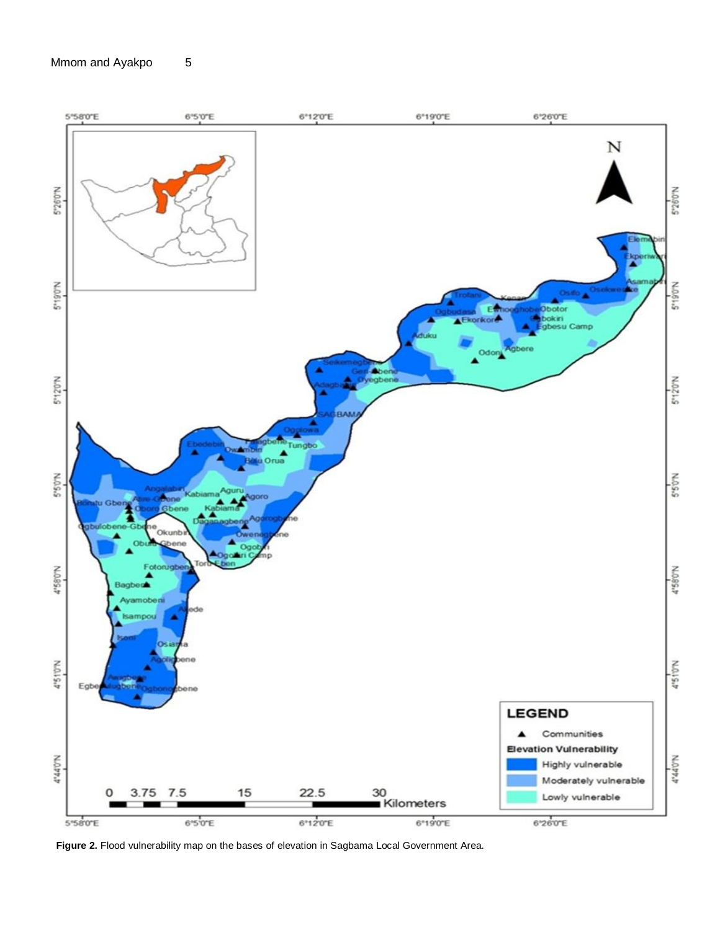

Figure 2. Flood vulnerability map on the bases of elevation in Sagbama Local Government Area.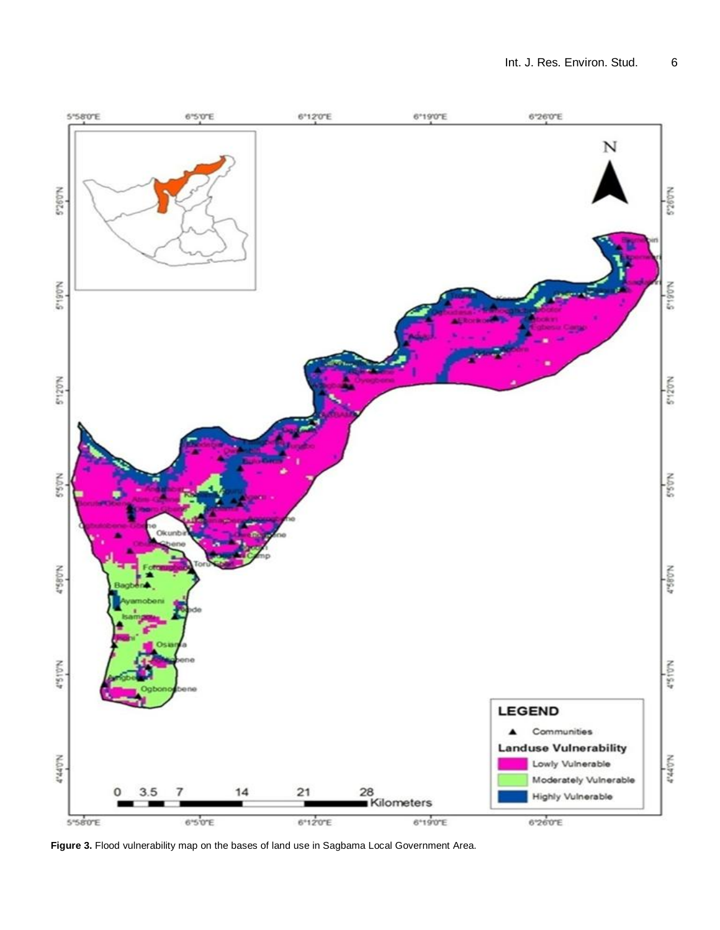

Figure 3. Flood vulnerability map on the bases of land use in Sagbama Local Government Area.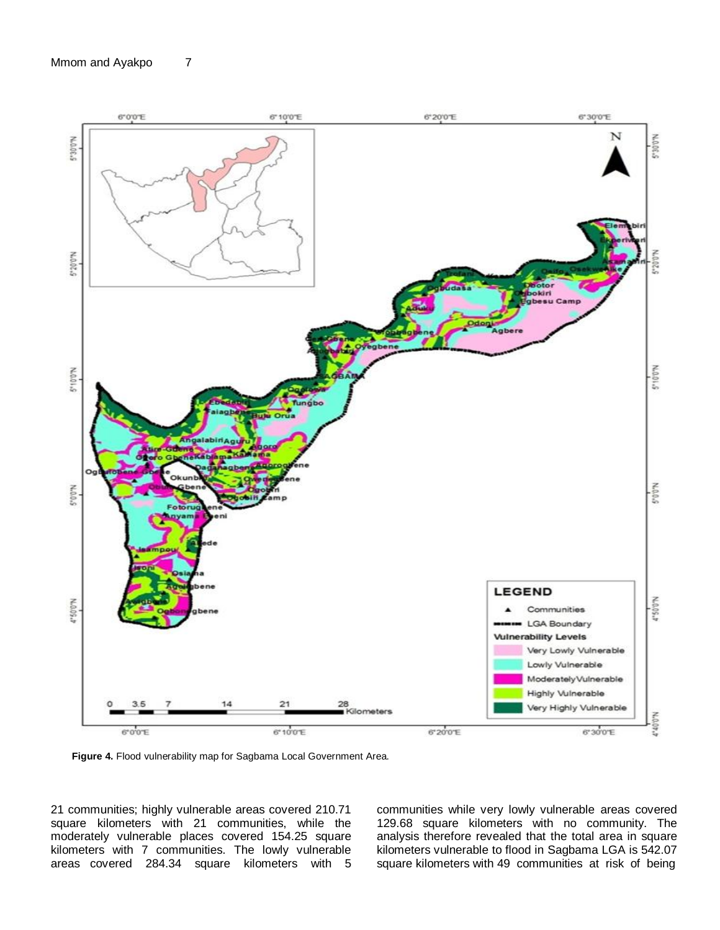

**Figure 4.** Flood vulnerability map for Sagbama Local Government Area.

21 communities; highly vulnerable areas covered 210.71 square kilometers with 21 communities, while the moderately vulnerable places covered 154.25 square kilometers with 7 communities. The lowly vulnerable areas covered 284.34 square kilometers with 5

communities while very lowly vulnerable areas covered 129.68 square kilometers with no community. The analysis therefore revealed that the total area in square kilometers vulnerable to flood in Sagbama LGA is 542.07 square kilometers with 49 communities at risk of being